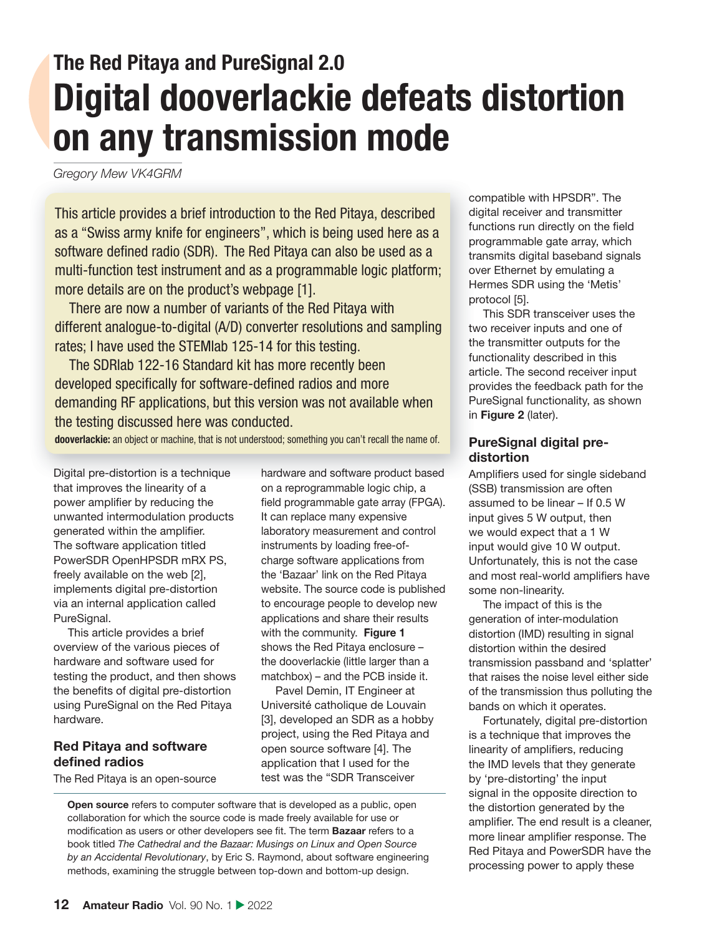## **The Red Pitaya and PureSignal 2.0 Digital dooverlackie defeats distortion on any transmission mode**

*Gregory Mew VK4GRM*

This article provides a brief introduction to the Red Pitaya, described as a "Swiss army knife for engineers", which is being used here as a software defined radio (SDR). The Red Pitaya can also be used as a multi-function test instrument and as a programmable logic platform; more details are on the product's webpage [1].

There are now a number of variants of the Red Pitaya with different analogue-to-digital (A/D) converter resolutions and sampling rates; I have used the STEMlab 125-14 for this testing.

The SDRlab 122-16 Standard kit has more recently been developed specifically for software-defined radios and more demanding RF applications, but this version was not available when the testing discussed here was conducted.

**dooverlackie:** an object or machine, that is not understood; something you can't recall the name of.

Digital pre-distortion is a technique that improves the linearity of a power amplifier by reducing the unwanted intermodulation products generated within the amplifier. The software application titled PowerSDR OpenHPSDR mRX PS, freely available on the web [2], implements digital pre-distortion via an internal application called PureSignal.

This article provides a brief overview of the various pieces of hardware and software used for testing the product, and then shows the benefits of digital pre-distortion using PureSignal on the Red Pitaya hardware.

#### **Red Pitaya and software**  defined radios

The Red Pitaya is an open-source

hardware and software product based on a reprogrammable logic chip, a field programmable gate array (FPGA). It can replace many expensive laboratory measurement and control instruments by loading free-ofcharge software applications from the 'Bazaar' link on the Red Pitaya website. The source code is published to encourage people to develop new applications and share their results with the community. **Figure 1** shows the Red Pitaya enclosure – the dooverlackie (little larger than a matchbox) – and the PCB inside it.

Pavel Demin, IT Engineer at Université catholique de Louvain [3], developed an SDR as a hobby project, using the Red Pitaya and open source software [4]. The application that I used for the test was the "SDR Transceiver

 **Open source** refers to computer software that is developed as a public, open collaboration for which the source code is made freely available for use or modification as users or other developers see fit. The term **Bazaar** refers to a book titled *The Cathedral and the Bazaar: Musings on Linux and Open Source by an Accidental Revolutionary*, by Eric S. Raymond, about software engineering methods, examining the struggle between top-down and bottom-up design.

compatible with HPSDR". The digital receiver and transmitter functions run directly on the field programmable gate array, which transmits digital baseband signals over Ethernet by emulating a Hermes SDR using the 'Metis' protocol [5].

This SDR transceiver uses the two receiver inputs and one of the transmitter outputs for the functionality described in this article. The second receiver input provides the feedback path for the PureSignal functionality, as shown in **Figure 2** (later).

#### **PureSignal digital predistortion**

Amplifiers used for single sideband (SSB) transmission are often assumed to be linear – If 0.5 W input gives 5 W output, then we would expect that a 1 W input would give 10 W output. Unfortunately, this is not the case and most real-world amplifiers have some non-linearity.

The impact of this is the generation of inter-modulation distortion (IMD) resulting in signal distortion within the desired transmission passband and 'splatter' that raises the noise level either side of the transmission thus polluting the bands on which it operates.

Fortunately, digital pre-distortion is a technique that improves the linearity of amplifiers, reducing the IMD levels that they generate by 'pre-distorting' the input signal in the opposite direction to the distortion generated by the amplifier. The end result is a cleaner, more linear amplifier response. The Red Pitaya and PowerSDR have the processing power to apply these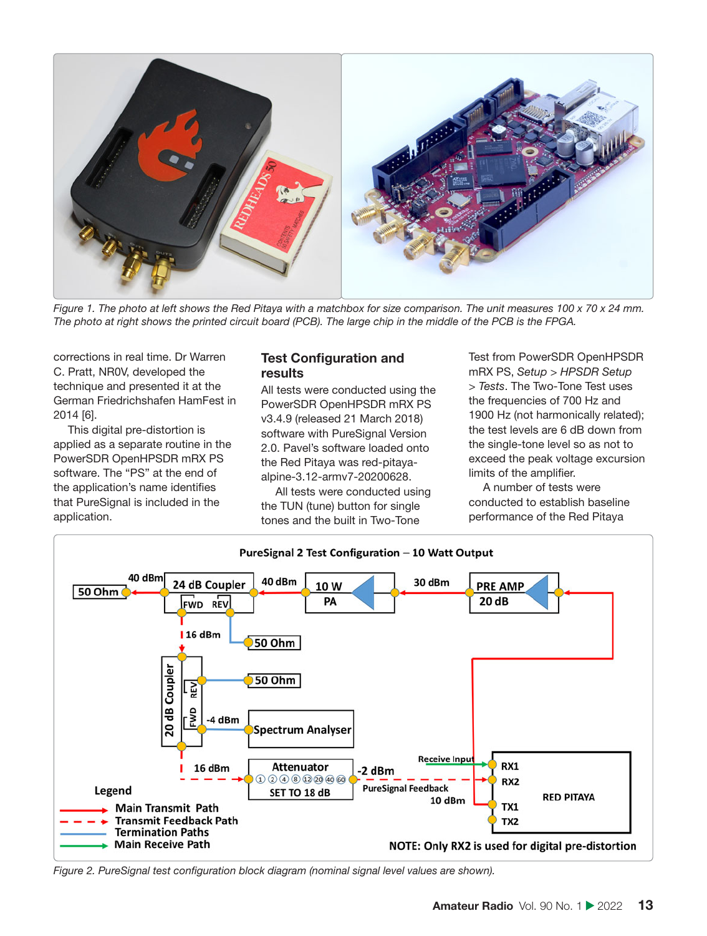

*Figure 1. The photo at left shows the Red Pitaya with a matchbox for size comparison. The unit measures 100 x 70 x 24 mm. The photo at right shows the printed circuit board (PCB). The large chip in the middle of the PCB is the FPGA.*

corrections in real time. Dr Warren C. Pratt, NR0V, developed the technique and presented it at the German Friedrichshafen HamFest in 2014 [6].

This digital pre-distortion is applied as a separate routine in the PowerSDR OpenHPSDR mRX PS software. The "PS" at the end of the application's name identifies that PureSignal is included in the application.

#### **Test Configuration and results**

All tests were conducted using the PowerSDR OpenHPSDR mRX PS v3.4.9 (released 21 March 2018) software with PureSignal Version 2.0. Pavel's software loaded onto the Red Pitaya was red-pitayaalpine-3.12-armv7-20200628.

All tests were conducted using the TUN (tune) button for single tones and the built in Two-Tone

Test from PowerSDR OpenHPSDR mRX PS, *Setup > HPSDR Setup > Tests*. The Two-Tone Test uses the frequencies of 700 Hz and 1900 Hz (not harmonically related); the test levels are 6 dB down from the single-tone level so as not to exceed the peak voltage excursion limits of the amplifier.

A number of tests were conducted to establish baseline performance of the Red Pitaya



Figure 2. PureSignal test configuration block diagram (nominal signal level values are shown).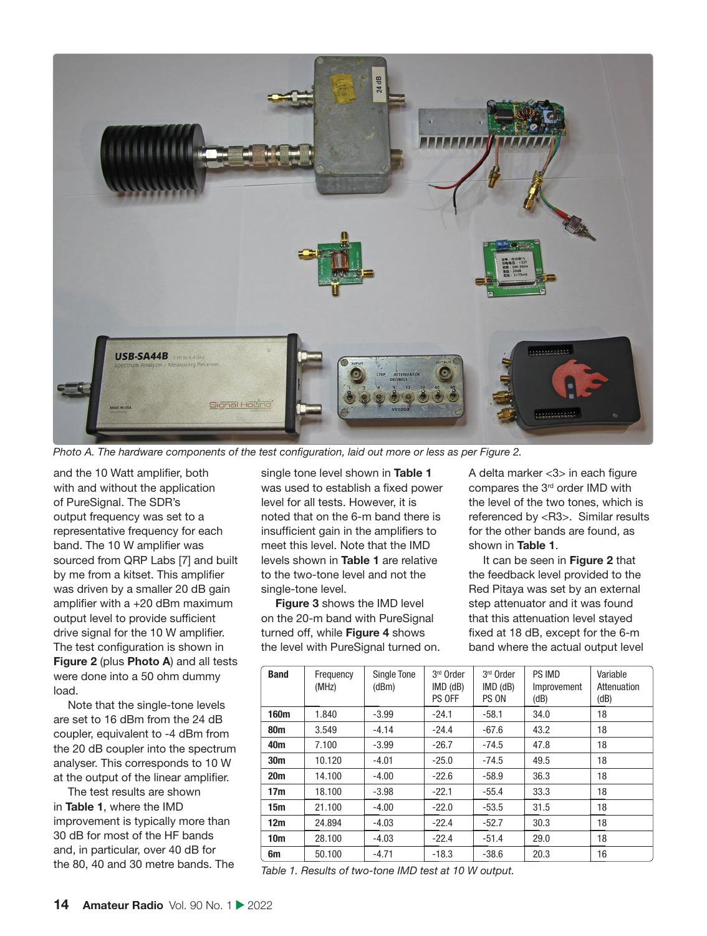

*Photo A. The hardware components of the test configuration, laid out more or less as per Figure 2.* 

and the 10 Watt amplifier, both with and without the application of PureSignal. The SDR's output frequency was set to a representative frequency for each band. The 10 W amplifier was sourced from QRP Labs [7] and built by me from a kitset. This amplifier was driven by a smaller 20 dB gain amplifier with  $a + 20$  dBm maximum output level to provide sufficient drive signal for the 10 W amplifier. The test configuration is shown in **Figure 2** (plus **Photo A**) and all tests were done into a 50 ohm dummy load.

Note that the single-tone levels are set to 16 dBm from the 24 dB coupler, equivalent to -4 dBm from the 20 dB coupler into the spectrum analyser. This corresponds to 10 W at the output of the linear amplifier.

The test results are shown in **Table 1**, where the IMD improvement is typically more than 30 dB for most of the HF bands and, in particular, over 40 dB for the 80, 40 and 30 metre bands. The single tone level shown in **Table 1** was used to establish a fixed power level for all tests. However, it is noted that on the 6-m band there is insufficient gain in the amplifiers to meet this level. Note that the IMD levels shown in **Table 1** are relative to the two-tone level and not the single-tone level.

**Figure 3** shows the IMD level on the 20-m band with PureSignal turned off, while **Figure 4** shows the level with PureSignal turned on. A delta marker  $<$ 3 $>$  in each figure compares the 3<sup>rd</sup> order IMD with the level of the two tones, which is referenced by <R3>. Similar results for the other bands are found, as shown in **Table 1**.

It can be seen in **Figure 2** that the feedback level provided to the Red Pitaya was set by an external step attenuator and it was found that this attenuation level stayed fixed at 18 dB, except for the 6-m band where the actual output level

| <b>Band</b>     | Frequency<br>(MHz) | Single Tone<br>(dBm) | 3rd Order<br>$IMD$ ( $dB$ )<br>PS OFF | 3rd Order<br>$IMD$ ( $dB$ )<br>PS ON | PS IMD<br>Improvement<br>(dB) | Variable<br>Attenuation<br>(dB) |
|-----------------|--------------------|----------------------|---------------------------------------|--------------------------------------|-------------------------------|---------------------------------|
| 160m            | 1.840              | $-3.99$              | $-24.1$                               | $-58.1$                              | 34.0                          | 18                              |
| 80 <sub>m</sub> | 3.549              | $-4.14$              | $-24.4$                               | $-67.6$                              | 43.2                          | 18                              |
| 40 <sub>m</sub> | 7.100              | $-3.99$              | $-26.7$                               | $-74.5$                              | 47.8                          | 18                              |
| 30 <sub>m</sub> | 10.120             | $-4.01$              | $-25.0$                               | $-74.5$                              | 49.5                          | 18                              |
| 20 <sub>m</sub> | 14.100             | $-4.00$              | $-22.6$                               | $-58.9$                              | 36.3                          | 18                              |
| 17 <sub>m</sub> | 18.100             | $-3.98$              | $-22.1$                               | $-55.4$                              | 33.3                          | 18                              |
| 15 <sub>m</sub> | 21.100             | $-4.00$              | $-22.0$                               | $-53.5$                              | 31.5                          | 18                              |
| 12m             | 24.894             | $-4.03$              | $-22.4$                               | $-52.7$                              | 30.3                          | 18                              |
| 10 <sub>m</sub> | 28.100             | $-4.03$              | $-22.4$                               | $-51.4$                              | 29.0                          | 18                              |
| 6m              | 50.100             | $-4.71$              | $-18.3$                               | $-38.6$                              | 20.3                          | 16                              |

*Table 1. Results of two-tone IMD test at 10 W output.*